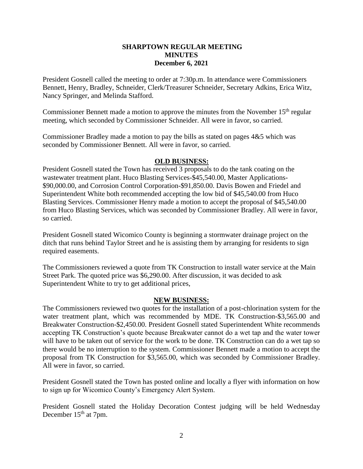## **SHARPTOWN REGULAR MEETING MINUTES December 6, 2021**

President Gosnell called the meeting to order at 7:30p.m. In attendance were Commissioners Bennett, Henry, Bradley, Schneider, Clerk/Treasurer Schneider, Secretary Adkins, Erica Witz, Nancy Springer, and Melinda Stafford.

Commissioner Bennett made a motion to approve the minutes from the November  $15<sup>th</sup>$  regular meeting, which seconded by Commissioner Schneider. All were in favor, so carried.

Commissioner Bradley made a motion to pay the bills as stated on pages 4&5 which was seconded by Commissioner Bennett. All were in favor, so carried.

## **OLD BUSINESS:**

President Gosnell stated the Town has received 3 proposals to do the tank coating on the wastewater treatment plant. Huco Blasting Services-\$45,540.00, Master Applications- \$90,000.00, and Corrosion Control Corporation-\$91,850.00. Davis Bowen and Friedel and Superintendent White both recommended accepting the low bid of \$45,540.00 from Huco Blasting Services. Commissioner Henry made a motion to accept the proposal of \$45,540.00 from Huco Blasting Services, which was seconded by Commissioner Bradley. All were in favor, so carried.

President Gosnell stated Wicomico County is beginning a stormwater drainage project on the ditch that runs behind Taylor Street and he is assisting them by arranging for residents to sign required easements.

The Commissioners reviewed a quote from TK Construction to install water service at the Main Street Park. The quoted price was \$6,290.00. After discussion, it was decided to ask Superintendent White to try to get additional prices,

## **NEW BUSINESS:**

The Commissioners reviewed two quotes for the installation of a post-chlorination system for the water treatment plant, which was recommended by MDE. TK Construction-\$3,565.00 and Breakwater Construction-\$2,450.00. President Gosnell stated Superintendent White recommends accepting TK Construction's quote because Breakwater cannot do a wet tap and the water tower will have to be taken out of service for the work to be done. TK Construction can do a wet tap so there would be no interruption to the system. Commissioner Bennett made a motion to accept the proposal from TK Construction for \$3,565.00, which was seconded by Commissioner Bradley. All were in favor, so carried.

President Gosnell stated the Town has posted online and locally a flyer with information on how to sign up for Wicomico County's Emergency Alert System.

President Gosnell stated the Holiday Decoration Contest judging will be held Wednesday December 15<sup>th</sup> at 7pm.